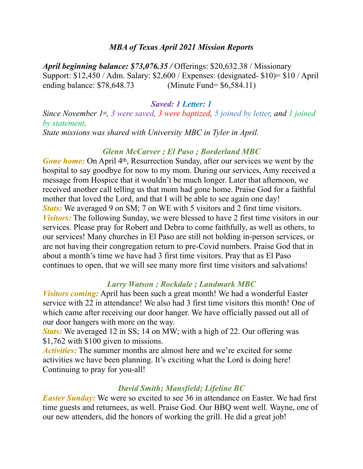### *MBA of Texas April 2021 Mission Reports*

*April beginning balance: \$73,076.35 /* Offerings: \$20,632.38 / Missionary Support: \$12,450 / Adm. Salary: \$2,600 / Expenses: (designated- \$10)= \$10 / April ending balance: \$78,648.73 (Minute Fund= \$6,584.11)

#### *Saved: 1 Letter: 1*

*Since November 1st, 3 were saved, 3 were baptized, 5 joined by letter, and 1 joined by statement.* 

*State missions was shared with University MBC in Tyler in April.* 

## *Glenn McCarver ; El Paso ; Borderland MBC*

*Gone home:* On April 4<sup>th</sup>, Resurrection Sunday, after our services we went by the hospital to say goodbye for now to my mom. During our services, Amy received a message from Hospice that it wouldn't be much longer. Later that afternoon, we received another call telling us that mom had gone home. Praise God for a faithful mother that loved the Lord, and that I will be able to see again one day! *Stats:* We averaged 9 on SM; 7 on WE with 5 visitors and 2 first time visitors. *Visitors:* The following Sunday, we were blessed to have 2 first time visitors in our services. Please pray for Robert and Debra to come faithfully, as well as others, to our services! Many churches in El Paso are still not holding in-person services, or are not having their congregation return to pre-Covid numbers. Praise God that in about a month's time we have had 3 first time visitors. Pray that as El Paso continues to open, that we will see many more first time visitors and salvations!

## *Larry Watson ; Rockdale ; Landmark MBC*

*Visitors coming:* April has been such a great month! We had a wonderful Easter service with 22 in attendance! We also had 3 first time visitors this month! One of which came after receiving our door hanger. We have officially passed out all of our door hangers with more on the way.

*Stats:* We averaged 12 in SS; 14 on MW; with a high of 22. Our offering was \$1,762 with \$100 given to missions.

*Activities:* The summer months are almost here and we're excited for some activities we have been planning. It's exciting what the Lord is doing here! Continuing to pray for you-all!

## *David Smith; Mansfield; Lifeline BC*

*Easter Sunday:* We were so excited to see 36 in attendance on Easter. We had first time guests and returnees, as well. Praise God. Our BBQ went well. Wayne, one of our new attenders, did the honors of working the grill. He did a great job!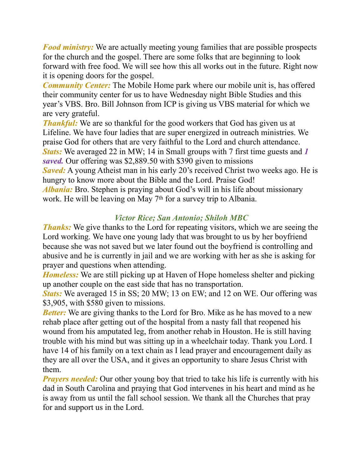*Food ministry:* We are actually meeting young families that are possible prospects for the church and the gospel. There are some folks that are beginning to look forward with free food. We will see how this all works out in the future. Right now it is opening doors for the gospel.

*Community Center:* The Mobile Home park where our mobile unit is, has offered their community center for us to have Wednesday night Bible Studies and this year's VBS. Bro. Bill Johnson from ICP is giving us VBS material for which we are very grateful.

*Thankful:* We are so thankful for the good workers that God has given us at Lifeline. We have four ladies that are super energized in outreach ministries. We praise God for others that are very faithful to the Lord and church attendance. *Stats:* We averaged 22 in MW; 14 in Small groups with 7 first time guests and *1 saved.* Our offering was \$2,889.50 with \$390 given to missions *Saved:* A young Atheist man in his early 20's received Christ two weeks ago. He is hungry to know more about the Bible and the Lord. Praise God! *Albania:* Bro. Stephen is praying about God's will in his life about missionary work. He will be leaving on May 7<sup>th</sup> for a survey trip to Albania.

# *Victor Rice; San Antonio; Shiloh MBC*

*Thanks:* We give thanks to the Lord for repeating visitors, which we are seeing the Lord working. We have one young lady that was brought to us by her boyfriend because she was not saved but we later found out the boyfriend is controlling and abusive and he is currently in jail and we are working with her as she is asking for prayer and questions when attending.

*Homeless:* We are still picking up at Haven of Hope homeless shelter and picking up another couple on the east side that has no transportation.

*Stats:* We averaged 15 in SS; 20 MW; 13 on EW; and 12 on WE. Our offering was \$3,905, with \$580 given to missions.

*Better*: We are giving thanks to the Lord for Bro. Mike as he has moved to a new rehab place after getting out of the hospital from a nasty fall that reopened his wound from his amputated leg, from another rehab in Houston. He is still having trouble with his mind but was sitting up in a wheelchair today. Thank you Lord. I have 14 of his family on a text chain as I lead prayer and encouragement daily as they are all over the USA, and it gives an opportunity to share Jesus Christ with them.

*Prayers needed:* Our other young boy that tried to take his life is currently with his dad in South Carolina and praying that God intervenes in his heart and mind as he is away from us until the fall school session. We thank all the Churches that pray for and support us in the Lord.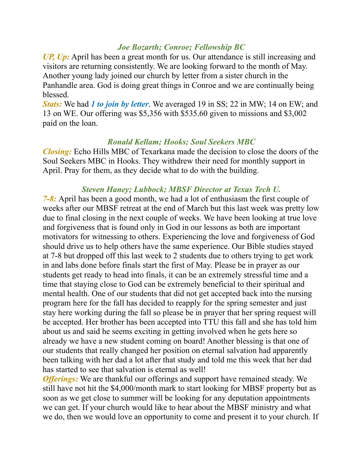### *Joe Bozarth; Conroe; Fellowship BC*

*UP, Up:* April has been a great month for us. Our attendance is still increasing and visitors are returning consistently. We are looking forward to the month of May. Another young lady joined our church by letter from a sister church in the Panhandle area. God is doing great things in Conroe and we are continually being blessed.

*Stats:* We had *1 to join by letter*. We averaged 19 in SS; 22 in MW; 14 on EW; and 13 on WE. Our offering was \$5,356 with \$535.60 given to missions and \$3,002 paid on the loan.

#### *Ronald Kellam; Hooks; Soul Seekers MBC*

*Closing:* Echo Hills MBC of Texarkana made the decision to close the doors of the Soul Seekers MBC in Hooks. They withdrew their need for monthly support in April. Pray for them, as they decide what to do with the building.

#### *Steven Haney; Lubbock; MBSF Director at Texas Tech U.*

*7-8:* April has been a good month, we had a lot of enthusiasm the first couple of weeks after our MBSF retreat at the end of March but this last week was pretty low due to final closing in the next couple of weeks. We have been looking at true love and forgiveness that is found only in God in our lessons as both are important motivators for witnessing to others. Experiencing the love and forgiveness of God should drive us to help others have the same experience. Our Bible studies stayed at 7-8 but dropped off this last week to 2 students due to others trying to get work in and labs done before finals start the first of May. Please be in prayer as our students get ready to head into finals, it can be an extremely stressful time and a time that staying close to God can be extremely beneficial to their spiritual and mental health. One of our students that did not get accepted back into the nursing program here for the fall has decided to reapply for the spring semester and just stay here working during the fall so please be in prayer that her spring request will be accepted. Her brother has been accepted into TTU this fall and she has told him about us and said he seems exciting in getting involved when he gets here so already we have a new student coming on board! Another blessing is that one of our students that really changed her position on eternal salvation had apparently been talking with her dad a lot after that study and told me this week that her dad has started to see that salvation is eternal as well!

*Offerings:* We are thankful our offerings and support have remained steady. We still have not hit the \$4,000/month mark to start looking for MBSF property but as soon as we get close to summer will be looking for any deputation appointments we can get. If your church would like to hear about the MBSF ministry and what we do, then we would love an opportunity to come and present it to your church. If